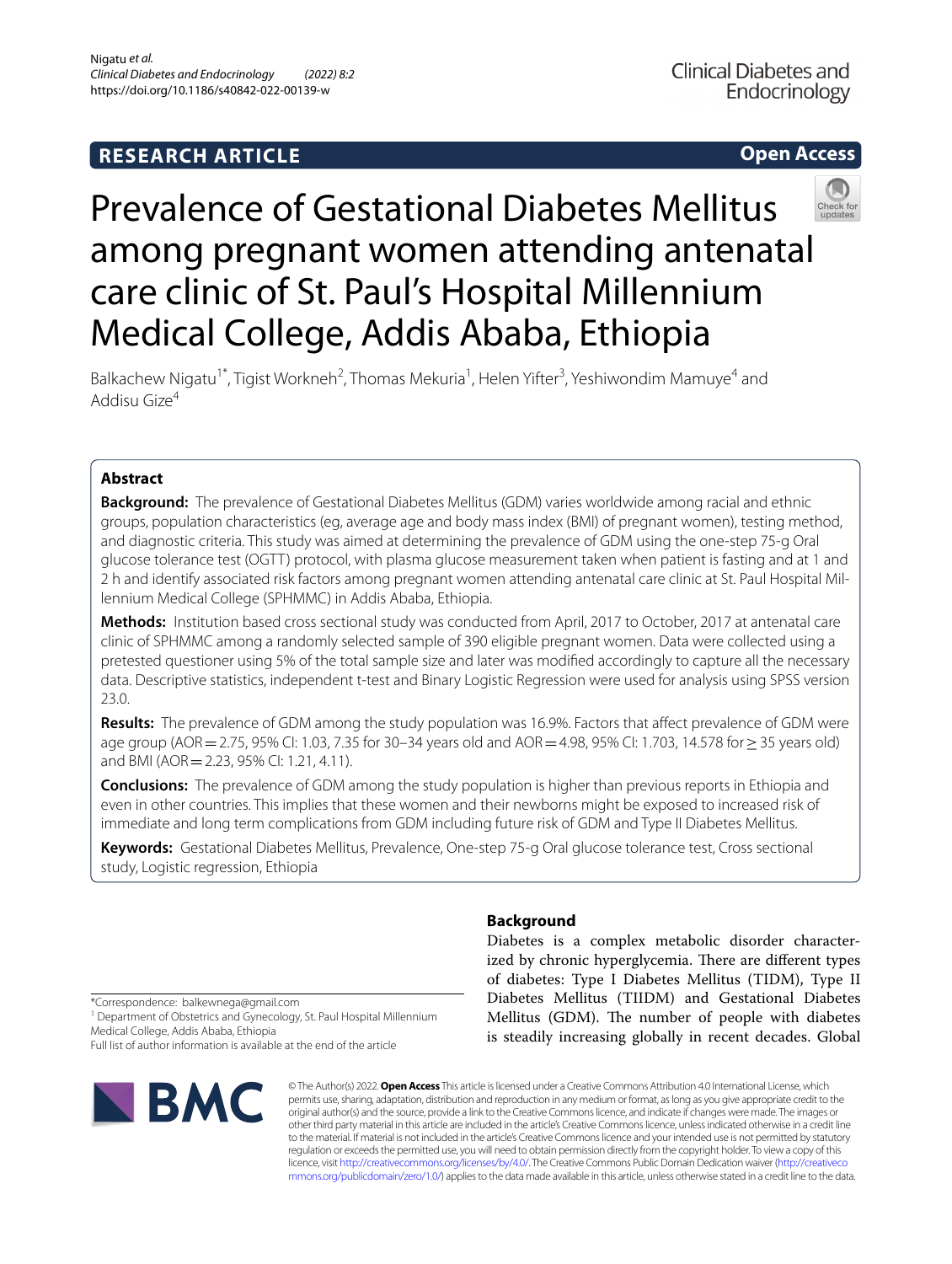# **RESEARCH ARTICLE**

# **Open Access**



# Prevalence of Gestational Diabetes Mellitus among pregnant women attending antenatal care clinic of St. Paul's Hospital Millennium Medical College, Addis Ababa, Ethiopia

Balkachew Nigatu<sup>1\*</sup>, Tigist Workneh<sup>2</sup>, Thomas Mekuria<sup>1</sup>, Helen Yifter<sup>3</sup>, Yeshiwondim Mamuye<sup>4</sup> and Addisu Gize4

# **Abstract**

**Background:** The prevalence of Gestational Diabetes Mellitus (GDM) varies worldwide among racial and ethnic groups, population characteristics (eg, average age and body mass index (BMI) of pregnant women), testing method, and diagnostic criteria. This study was aimed at determining the prevalence of GDM using the one-step 75-g Oral glucose tolerance test (OGTT) protocol, with plasma glucose measurement taken when patient is fasting and at 1 and 2 h and identify associated risk factors among pregnant women attending antenatal care clinic at St. Paul Hospital Millennium Medical College (SPHMMC) in Addis Ababa, Ethiopia.

**Methods:** Institution based cross sectional study was conducted from April, 2017 to October, 2017 at antenatal care clinic of SPHMMC among a randomly selected sample of 390 eligible pregnant women. Data were collected using a pretested questioner using 5% of the total sample size and later was modifed accordingly to capture all the necessary data. Descriptive statistics, independent t-test and Binary Logistic Regression were used for analysis using SPSS version 23.0.

**Results:** The prevalence of GDM among the study population was 16.9%. Factors that afect prevalence of GDM were age group (AOR=2.75, 95% CI: 1.03, 7.35 for 30–34 years old and AOR=4.98, 95% CI: 1.703, 14.578 for≥35 years old) and BMI (AOR=2.23, 95% CI: 1.21, 4.11).

**Conclusions:** The prevalence of GDM among the study population is higher than previous reports in Ethiopia and even in other countries. This implies that these women and their newborns might be exposed to increased risk of immediate and long term complications from GDM including future risk of GDM and Type II Diabetes Mellitus.

**Keywords:** Gestational Diabetes Mellitus, Prevalence, One-step 75-g Oral glucose tolerance test, Cross sectional study, Logistic regression, Ethiopia

# **Background**

Diabetes is a complex metabolic disorder characterized by chronic hyperglycemia. There are different types of diabetes: Type I Diabetes Mellitus (TIDM), Type II Diabetes Mellitus (TIIDM) and Gestational Diabetes Mellitus (GDM). The number of people with diabetes is steadily increasing globally in recent decades. Global

\*Correspondence: balkewnega@gmail.com

<sup>1</sup> Department of Obstetrics and Gynecology, St. Paul Hospital Millennium Medical College, Addis Ababa, Ethiopia

Full list of author information is available at the end of the article



© The Author(s) 2022. **Open Access** This article is licensed under a Creative Commons Attribution 4.0 International License, which permits use, sharing, adaptation, distribution and reproduction in any medium or format, as long as you give appropriate credit to the original author(s) and the source, provide a link to the Creative Commons licence, and indicate if changes were made. The images or other third party material in this article are included in the article's Creative Commons licence, unless indicated otherwise in a credit line to the material. If material is not included in the article's Creative Commons licence and your intended use is not permitted by statutory regulation or exceeds the permitted use, you will need to obtain permission directly from the copyright holder. To view a copy of this licence, visit [http://creativecommons.org/licenses/by/4.0/.](http://creativecommons.org/licenses/by/4.0/) The Creative Commons Public Domain Dedication waiver ([http://creativeco](http://creativecommons.org/publicdomain/zero/1.0/) [mmons.org/publicdomain/zero/1.0/](http://creativecommons.org/publicdomain/zero/1.0/)) applies to the data made available in this article, unless otherwise stated in a credit line to the data.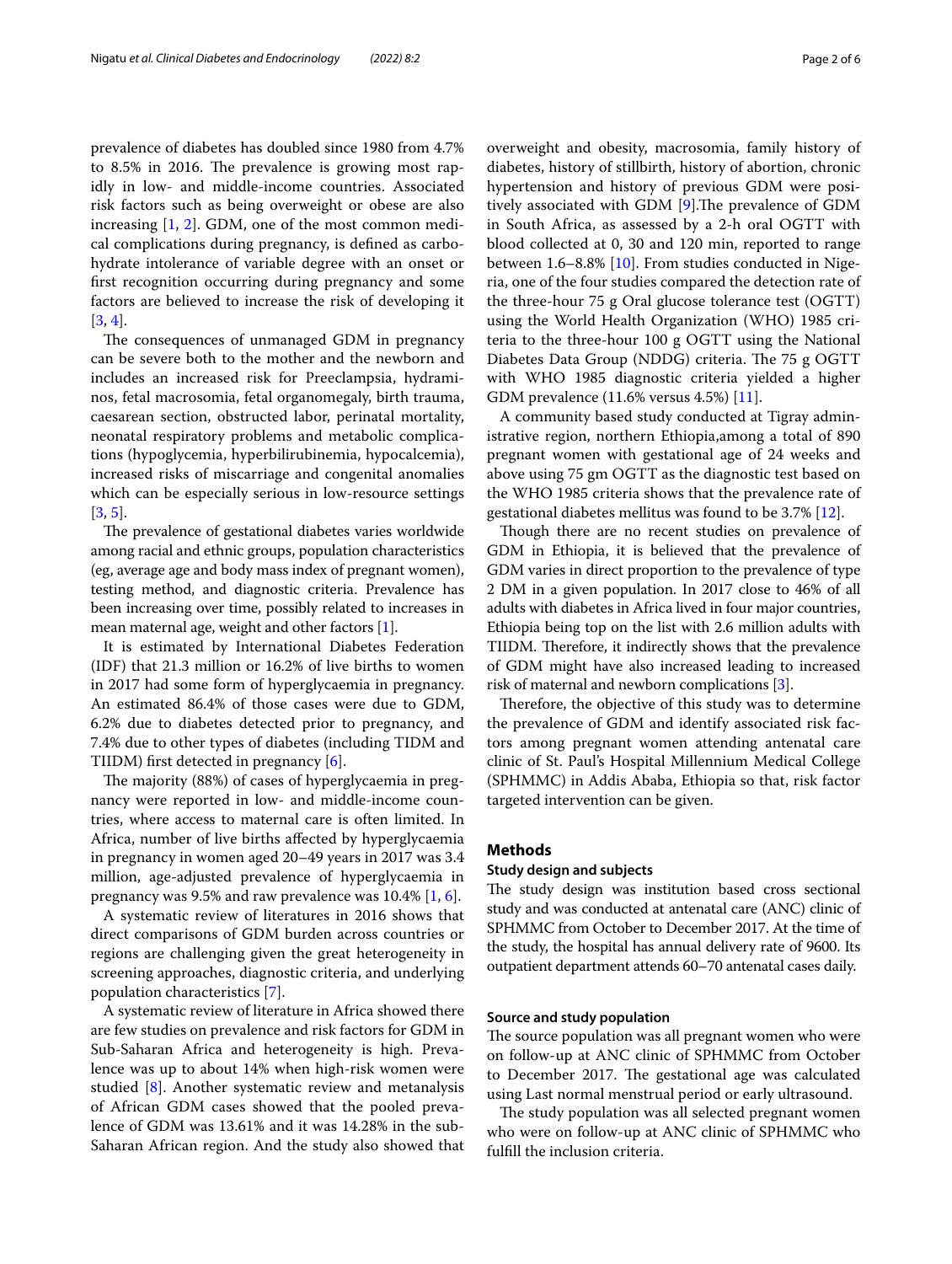prevalence of diabetes has doubled since 1980 from 4.7% to  $8.5\%$  in 2016. The prevalence is growing most rapidly in low- and middle-income countries. Associated risk factors such as being overweight or obese are also increasing [[1,](#page-5-0) [2](#page-5-1)]. GDM, one of the most common medical complications during pregnancy, is defned as carbohydrate intolerance of variable degree with an onset or frst recognition occurring during pregnancy and some factors are believed to increase the risk of developing it [[3,](#page-5-2) [4](#page-5-3)].

The consequences of unmanaged GDM in pregnancy can be severe both to the mother and the newborn and includes an increased risk for Preeclampsia, hydraminos, fetal macrosomia, fetal organomegaly, birth trauma, caesarean section, obstructed labor, perinatal mortality, neonatal respiratory problems and metabolic complications (hypoglycemia, hyperbilirubinemia, hypocalcemia), increased risks of miscarriage and congenital anomalies which can be especially serious in low-resource settings [[3,](#page-5-2) [5](#page-5-4)].

The prevalence of gestational diabetes varies worldwide among racial and ethnic groups, population characteristics (eg, average age and body mass index of pregnant women), testing method, and diagnostic criteria. Prevalence has been increasing over time, possibly related to increases in mean maternal age, weight and other factors [\[1\]](#page-5-0).

It is estimated by International Diabetes Federation (IDF) that 21.3 million or 16.2% of live births to women in 2017 had some form of hyperglycaemia in pregnancy. An estimated 86.4% of those cases were due to GDM, 6.2% due to diabetes detected prior to pregnancy, and 7.4% due to other types of diabetes (including TIDM and TIIDM) frst detected in pregnancy [\[6](#page-5-5)].

The majority (88%) of cases of hyperglycaemia in pregnancy were reported in low- and middle-income countries, where access to maternal care is often limited. In Africa, number of live births afected by hyperglycaemia in pregnancy in women aged 20–49 years in 2017 was 3.4 million, age-adjusted prevalence of hyperglycaemia in pregnancy was 9.5% and raw prevalence was 10.4% [[1,](#page-5-0) [6](#page-5-5)].

A systematic review of literatures in 2016 shows that direct comparisons of GDM burden across countries or regions are challenging given the great heterogeneity in screening approaches, diagnostic criteria, and underlying population characteristics [\[7](#page-5-6)].

A systematic review of literature in Africa showed there are few studies on prevalence and risk factors for GDM in Sub-Saharan Africa and heterogeneity is high. Prevalence was up to about 14% when high-risk women were studied [[8\]](#page-5-7). Another systematic review and metanalysis of African GDM cases showed that the pooled prevalence of GDM was 13.61% and it was 14.28% in the sub-Saharan African region. And the study also showed that overweight and obesity, macrosomia, family history of diabetes, history of stillbirth, history of abortion, chronic hypertension and history of previous GDM were positively associated with GDM  $[9]$  $[9]$ . The prevalence of GDM in South Africa, as assessed by a 2-h oral OGTT with blood collected at 0, 30 and 120 min, reported to range between 1.6–8.8% [[10\]](#page-5-9). From studies conducted in Nigeria, one of the four studies compared the detection rate of the three-hour 75 g Oral glucose tolerance test (OGTT) using the World Health Organization (WHO) 1985 criteria to the three-hour 100 g OGTT using the National Diabetes Data Group (NDDG) criteria. The 75 g OGTT with WHO 1985 diagnostic criteria yielded a higher GDM prevalence (11.6% versus 4.5%) [[11\]](#page-5-10).

A community based study conducted at Tigray administrative region, northern Ethiopia,among a total of 890 pregnant women with gestational age of 24 weeks and above using 75 gm OGTT as the diagnostic test based on the WHO 1985 criteria shows that the prevalence rate of gestational diabetes mellitus was found to be 3.7% [\[12](#page-5-11)].

Though there are no recent studies on prevalence of GDM in Ethiopia, it is believed that the prevalence of GDM varies in direct proportion to the prevalence of type 2 DM in a given population. In 2017 close to 46% of all adults with diabetes in Africa lived in four major countries, Ethiopia being top on the list with 2.6 million adults with TIIDM. Therefore, it indirectly shows that the prevalence of GDM might have also increased leading to increased risk of maternal and newborn complications [[3](#page-5-2)].

Therefore, the objective of this study was to determine the prevalence of GDM and identify associated risk factors among pregnant women attending antenatal care clinic of St. Paul's Hospital Millennium Medical College (SPHMMC) in Addis Ababa, Ethiopia so that, risk factor targeted intervention can be given.

# **Methods**

#### **Study design and subjects**

The study design was institution based cross sectional study and was conducted at antenatal care (ANC) clinic of SPHMMC from October to December 2017. At the time of the study, the hospital has annual delivery rate of 9600. Its outpatient department attends 60–70 antenatal cases daily.

#### **Source and study population**

The source population was all pregnant women who were on follow-up at ANC clinic of SPHMMC from October to December 2017. The gestational age was calculated using Last normal menstrual period or early ultrasound.

The study population was all selected pregnant women who were on follow-up at ANC clinic of SPHMMC who fulfll the inclusion criteria.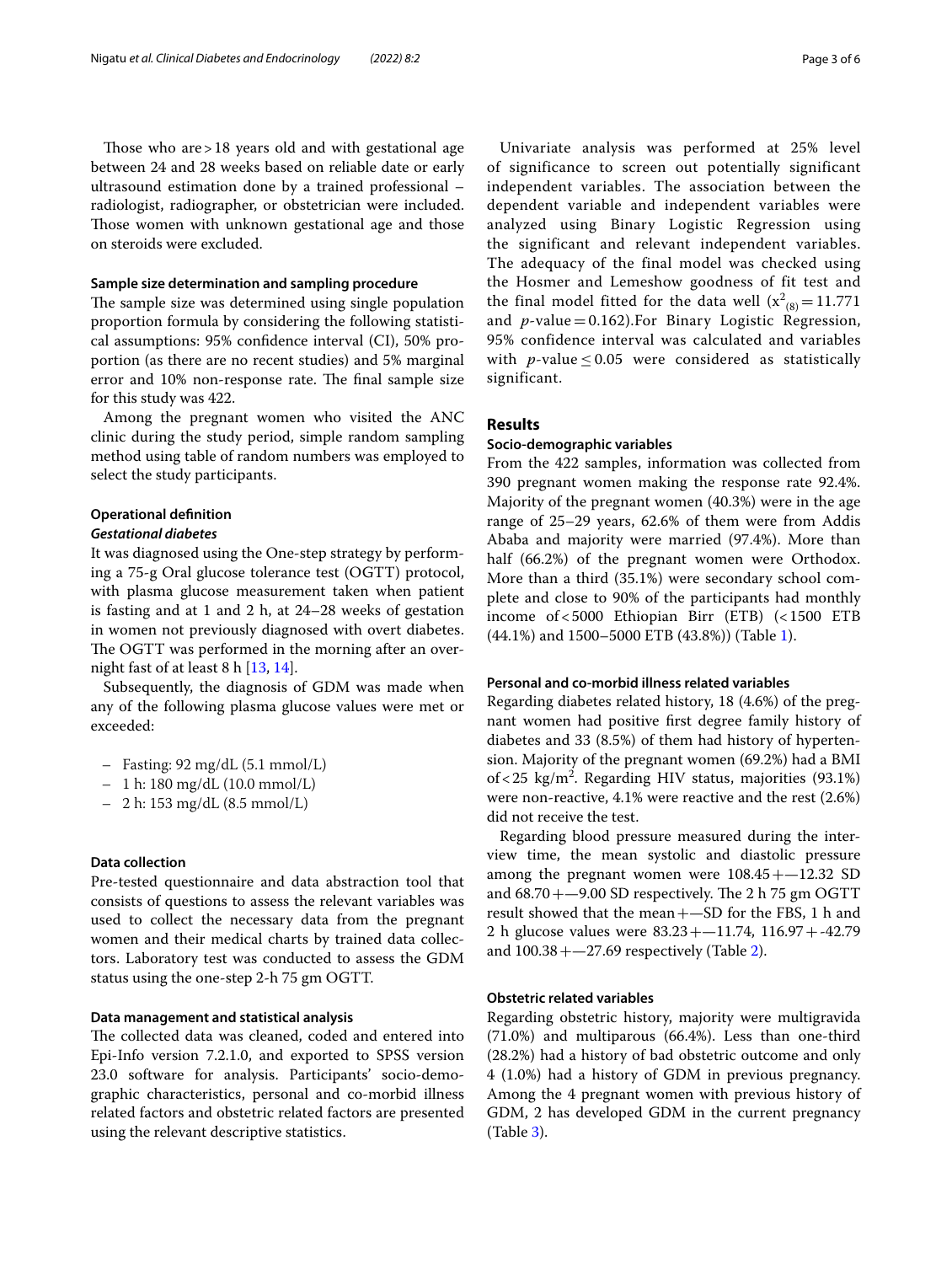Those who are  $>18$  years old and with gestational age between 24 and 28 weeks based on reliable date or early ultrasound estimation done by a trained professional – radiologist, radiographer, or obstetrician were included. Those women with unknown gestational age and those on steroids were excluded.

#### **Sample size determination and sampling procedure**

The sample size was determined using single population proportion formula by considering the following statistical assumptions: 95% confdence interval (CI), 50% proportion (as there are no recent studies) and 5% marginal error and 10% non-response rate. The final sample size for this study was 422.

Among the pregnant women who visited the ANC clinic during the study period, simple random sampling method using table of random numbers was employed to select the study participants.

# **Operational defnition**

#### *Gestational diabetes*

It was diagnosed using the One-step strategy by performing a 75-g Oral glucose tolerance test (OGTT) protocol, with plasma glucose measurement taken when patient is fasting and at 1 and 2 h, at 24–28 weeks of gestation in women not previously diagnosed with overt diabetes. The OGTT was performed in the morning after an overnight fast of at least 8 h [[13,](#page-5-12) [14](#page-5-13)].

Subsequently, the diagnosis of GDM was made when any of the following plasma glucose values were met or exceeded:

- Fasting: 92 mg/dL (5.1 mmol/L)
- 1 h: 180 mg/dL (10.0 mmol/L)
- 2 h: 153 mg/dL (8.5 mmol/L)

#### **Data collection**

Pre-tested questionnaire and data abstraction tool that consists of questions to assess the relevant variables was used to collect the necessary data from the pregnant women and their medical charts by trained data collectors. Laboratory test was conducted to assess the GDM status using the one-step 2-h 75 gm OGTT.

## **Data management and statistical analysis**

The collected data was cleaned, coded and entered into Epi-Info version 7.2.1.0, and exported to SPSS version 23.0 software for analysis. Participants' socio-demographic characteristics, personal and co-morbid illness related factors and obstetric related factors are presented using the relevant descriptive statistics.

Univariate analysis was performed at 25% level of significance to screen out potentially significant independent variables. The association between the dependent variable and independent variables were analyzed using Binary Logistic Regression using the significant and relevant independent variables. The adequacy of the final model was checked using the Hosmer and Lemeshow goodness of fit test and the final model fitted for the data well  $(x^2_{(8)} = 11.771)$ and *p*-value = 0.162). For Binary Logistic Regression, 95% confidence interval was calculated and variables with *p*-value  $\leq 0.05$  were considered as statistically significant.

#### **Results**

## **Socio‑demographic variables**

From the 422 samples, information was collected from 390 pregnant women making the response rate 92.4%. Majority of the pregnant women (40.3%) were in the age range of 25–29 years, 62.6% of them were from Addis Ababa and majority were married (97.4%). More than half (66.2%) of the pregnant women were Orthodox. More than a third (35.1%) were secondary school complete and close to 90% of the participants had monthly income of<5000 Ethiopian Birr (ETB) (<1500 ETB (44.1%) and 1500–5000 ETB (43.8%)) (Table [1](#page-3-0)).

## **Personal and co‑morbid illness related variables**

Regarding diabetes related history, 18 (4.6%) of the pregnant women had positive frst degree family history of diabetes and 33 (8.5%) of them had history of hypertension. Majority of the pregnant women (69.2%) had a BMI of < 25  $\text{kg/m}^2$ . Regarding HIV status, majorities (93.1%) were non-reactive, 4.1% were reactive and the rest (2.6%) did not receive the test.

Regarding blood pressure measured during the interview time, the mean systolic and diastolic pressure among the pregnant women were  $108.45 + -12.32$  SD and  $68.70 + -9.00$  SD respectively. The 2 h 75 gm OGTT result showed that the mean+—SD for the FBS, 1 h and 2 h glucose values were 83.23+—11.74, 116.97+-42.79 and  $100.38 + -27.69$  respectively (Table [2\)](#page-3-1).

#### **Obstetric related variables**

Regarding obstetric history, majority were multigravida (71.0%) and multiparous (66.4%). Less than one-third (28.2%) had a history of bad obstetric outcome and only 4 (1.0%) had a history of GDM in previous pregnancy. Among the 4 pregnant women with previous history of GDM, 2 has developed GDM in the current pregnancy (Table [3\)](#page-3-2).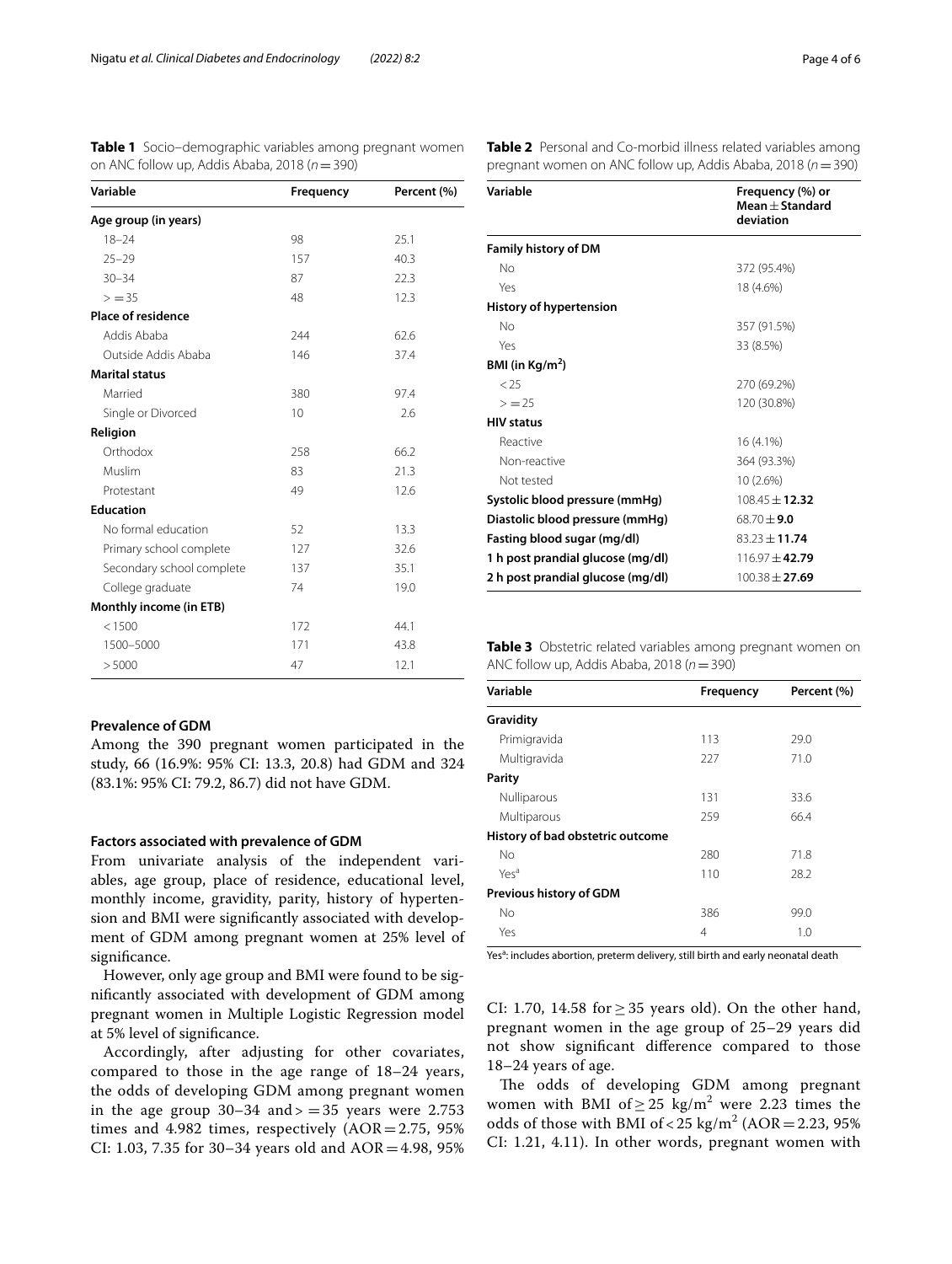| Variable                  | <b>Frequency</b> | Percent (%) |  |  |  |  |
|---------------------------|------------------|-------------|--|--|--|--|
| Age group (in years)      |                  |             |  |  |  |  |
| $18 - 24$                 | 98               | 25.1        |  |  |  |  |
| $25 - 29$                 | 157              | 40.3        |  |  |  |  |
| $30 - 34$                 | 87               | 22.3        |  |  |  |  |
| $> = 35$                  | 48               | 12.3        |  |  |  |  |
| <b>Place of residence</b> |                  |             |  |  |  |  |
| Addis Ababa               | 244              | 62.6        |  |  |  |  |
| Outside Addis Ababa       | 146              | 37.4        |  |  |  |  |
| <b>Marital status</b>     |                  |             |  |  |  |  |
| Married                   | 380              | 97.4        |  |  |  |  |
| Single or Divorced        | 10               | 2.6         |  |  |  |  |
| Religion                  |                  |             |  |  |  |  |
| Orthodox                  | 258              | 66.2        |  |  |  |  |
| Muslim                    | 83               | 21.3        |  |  |  |  |
| Protestant                | 49               | 12.6        |  |  |  |  |
| <b>Education</b>          |                  |             |  |  |  |  |
| No formal education       | 52               | 13.3        |  |  |  |  |
| Primary school complete   | 127              | 32.6        |  |  |  |  |
| Secondary school complete | 137              | 35.1        |  |  |  |  |
| College graduate          | 74               | 19.0        |  |  |  |  |
| Monthly income (in ETB)   |                  |             |  |  |  |  |
| < 1500                    | 172              | 44.1        |  |  |  |  |
| 1500-5000                 | 171              | 43.8        |  |  |  |  |
| > 5000                    | 47               | 12.1        |  |  |  |  |
|                           |                  |             |  |  |  |  |

# <span id="page-3-0"></span>**Table 1** Socio–demographic variables among pregnant women on ANC follow up, Addis Ababa, 2018 (*n*=390)

# **Prevalence of GDM**

Among the 390 pregnant women participated in the study, 66 (16.9%: 95% CI: 13.3, 20.8) had GDM and 324 (83.1%: 95% CI: 79.2, 86.7) did not have GDM.

#### **Factors associated with prevalence of GDM**

From univariate analysis of the independent variables, age group, place of residence, educational level, monthly income, gravidity, parity, history of hypertension and BMI were signifcantly associated with development of GDM among pregnant women at 25% level of significance.

However, only age group and BMI were found to be signifcantly associated with development of GDM among pregnant women in Multiple Logistic Regression model at 5% level of signifcance.

Accordingly, after adjusting for other covariates, compared to those in the age range of 18–24 years, the odds of developing GDM among pregnant women in the age group  $30-34$  and  $> = 35$  years were 2.753 times and 4.982 times, respectively  $(AOR = 2.75, 95\%)$ CI: 1.03, 7.35 for 30–34 years old and AOR=4.98, 95%

| Variable                          | Frequency (%) or<br>Mean $\pm$ Standard<br>deviation |
|-----------------------------------|------------------------------------------------------|
| <b>Family history of DM</b>       |                                                      |
| No                                | 372 (95.4%)                                          |
| Yes                               | 18 (4.6%)                                            |
| History of hypertension           |                                                      |
| No                                | 357 (91.5%)                                          |
| Yes                               | 33 (8.5%)                                            |
| BMI (in $Kg/m2$ )                 |                                                      |
| < 25                              | 270 (69.2%)                                          |
| > 25                              | 120 (30.8%)                                          |
| <b>HIV status</b>                 |                                                      |
| Reactive                          | 16 (4.1%)                                            |
| Non-reactive                      | 364 (93.3%)                                          |
| Not tested                        | 10 (2.6%)                                            |
| Systolic blood pressure (mmHg)    | $108.45 + 12.32$                                     |
| Diastolic blood pressure (mmHg)   | $68.70 \pm 9.0$                                      |
| Fasting blood sugar (mg/dl)       | $83.23 + 11.74$                                      |
| 1 h post prandial glucose (mg/dl) | $116.97 + 42.79$                                     |
| 2 h post prandial glucose (mg/dl) | $100.38 + 27.69$                                     |

<span id="page-3-2"></span>**Table 3** Obstetric related variables among pregnant women on ANC follow up, Addis Ababa, 2018 (*n*=390)

| Variable                         | <b>Frequency</b> | Percent (%) |
|----------------------------------|------------------|-------------|
| Gravidity                        |                  |             |
| Primigravida                     | 113              | 29.0        |
| Multigravida                     | 227              | 71.0        |
| Parity                           |                  |             |
| Nulliparous                      | 131              | 33.6        |
| Multiparous                      | 259              | 66.4        |
| History of bad obstetric outcome |                  |             |
| No                               | 280              | 71.8        |
| Yes <sup>a</sup>                 | 110              | 28.2        |
| Previous history of GDM          |                  |             |
| No                               | 386              | 99.0        |
| Yes                              | 4                | 1.0         |
|                                  |                  |             |

Yes<sup>a</sup>: includes abortion, preterm delivery, still birth and early neonatal death

CI: 1.70, 14.58 for  $\geq$  35 years old). On the other hand, pregnant women in the age group of 25–29 years did not show signifcant diference compared to those 18–24 years of age.

The odds of developing GDM among pregnant women with BMI of  $\geq 25$  kg/m<sup>2</sup> were 2.23 times the odds of those with BMI of <  $25 \text{ kg/m}^2$  (AOR = 2.23, 95%) CI: 1.21, 4.11). In other words, pregnant women with

<span id="page-3-1"></span>

|  | Table 2 Personal and Co-morbid illness related variables among   |  |  |
|--|------------------------------------------------------------------|--|--|
|  | pregnant women on ANC follow up, Addis Ababa, 2018 ( $n = 390$ ) |  |  |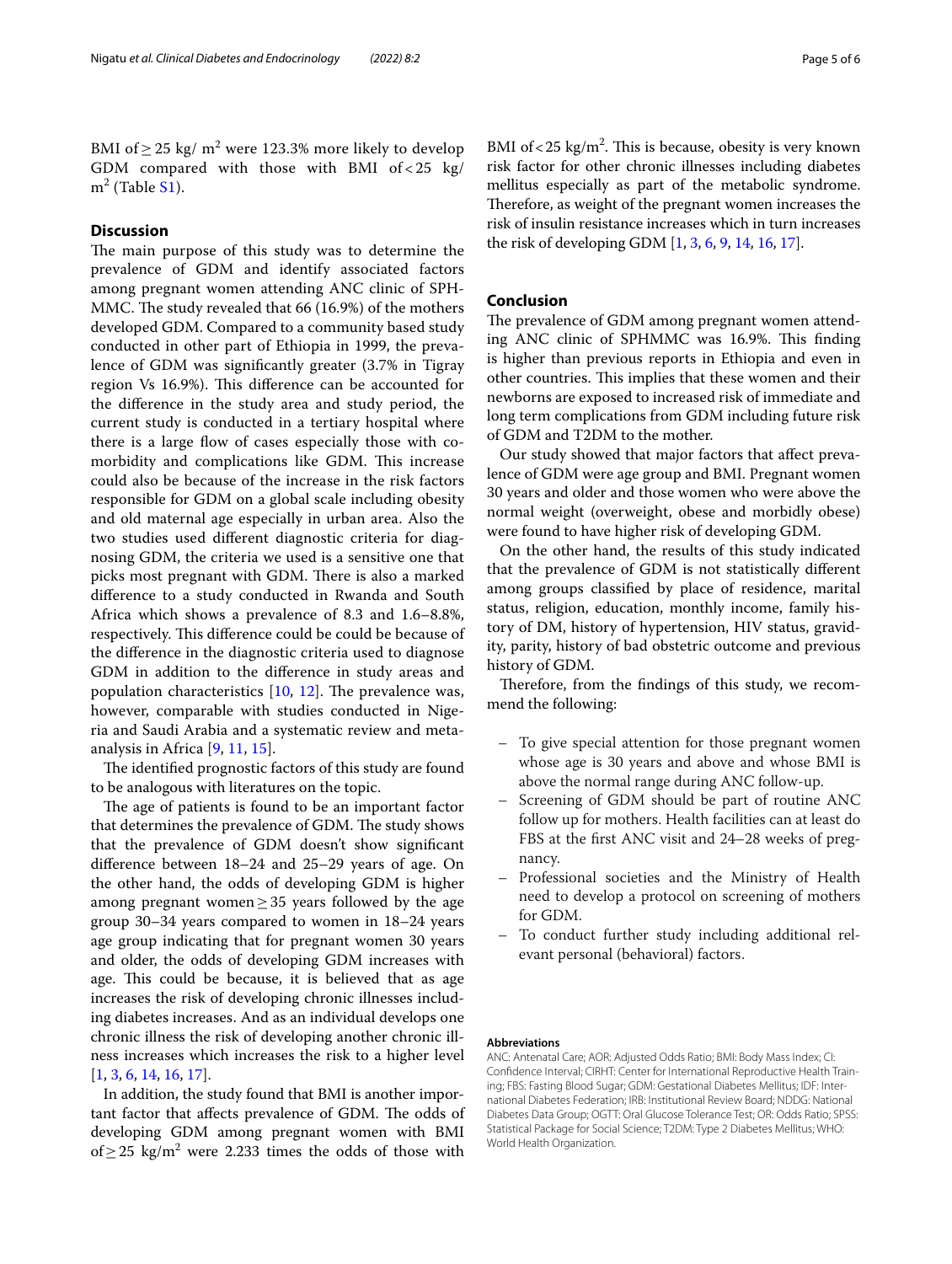BMI of  $\geq$  25 kg/ m<sup>2</sup> were 123.3% more likely to develop GDM compared with those with BMI of < 25 kg/ m<sup>2</sup> (Table [S1](#page-5-14)).

### **Discussion**

The main purpose of this study was to determine the prevalence of GDM and identify associated factors among pregnant women attending ANC clinic of SPH-MMC. The study revealed that 66 (16.9%) of the mothers developed GDM. Compared to a community based study conducted in other part of Ethiopia in 1999, the prevalence of GDM was signifcantly greater (3.7% in Tigray region Vs 16.9%). This difference can be accounted for the diference in the study area and study period, the current study is conducted in a tertiary hospital where there is a large flow of cases especially those with comorbidity and complications like GDM. This increase could also be because of the increase in the risk factors responsible for GDM on a global scale including obesity and old maternal age especially in urban area. Also the two studies used diferent diagnostic criteria for diagnosing GDM, the criteria we used is a sensitive one that picks most pregnant with GDM. There is also a marked diference to a study conducted in Rwanda and South Africa which shows a prevalence of 8.3 and 1.6–8.8%, respectively. This difference could be could be because of the diference in the diagnostic criteria used to diagnose GDM in addition to the diference in study areas and population characteristics  $[10, 12]$  $[10, 12]$  $[10, 12]$  $[10, 12]$  $[10, 12]$ . The prevalence was, however, comparable with studies conducted in Nigeria and Saudi Arabia and a systematic review and metaanalysis in Africa [[9](#page-5-8), [11,](#page-5-10) [15](#page-5-15)].

The identified prognostic factors of this study are found to be analogous with literatures on the topic.

The age of patients is found to be an important factor that determines the prevalence of GDM. The study shows that the prevalence of GDM doesn't show signifcant diference between 18–24 and 25–29 years of age. On the other hand, the odds of developing GDM is higher among pregnant women $\geq$  35 years followed by the age group 30–34 years compared to women in 18–24 years age group indicating that for pregnant women 30 years and older, the odds of developing GDM increases with age. This could be because, it is believed that as age increases the risk of developing chronic illnesses including diabetes increases. And as an individual develops one chronic illness the risk of developing another chronic illness increases which increases the risk to a higher level [[1,](#page-5-0) [3](#page-5-2), [6,](#page-5-5) [14](#page-5-13), [16](#page-5-16), [17\]](#page-5-17).

In addition, the study found that BMI is another important factor that affects prevalence of GDM. The odds of developing GDM among pregnant women with BMI of ≥ 25  $\text{kg/m}^2$  were 2.233 times the odds of those with

BMI of  $< 25 \text{ kg/m}^2$ . This is because, obesity is very known risk factor for other chronic illnesses including diabetes mellitus especially as part of the metabolic syndrome. Therefore, as weight of the pregnant women increases the risk of insulin resistance increases which in turn increases the risk of developing GDM [[1](#page-5-0), [3,](#page-5-2) [6](#page-5-5), [9](#page-5-8), [14,](#page-5-13) [16,](#page-5-16) [17\]](#page-5-17).

#### **Conclusion**

The prevalence of GDM among pregnant women attending ANC clinic of SPHMMC was 16.9%. This finding is higher than previous reports in Ethiopia and even in other countries. This implies that these women and their newborns are exposed to increased risk of immediate and long term complications from GDM including future risk of GDM and T2DM to the mother.

Our study showed that major factors that afect prevalence of GDM were age group and BMI. Pregnant women 30 years and older and those women who were above the normal weight (overweight, obese and morbidly obese) were found to have higher risk of developing GDM.

On the other hand, the results of this study indicated that the prevalence of GDM is not statistically diferent among groups classifed by place of residence, marital status, religion, education, monthly income, family history of DM, history of hypertension, HIV status, gravidity, parity, history of bad obstetric outcome and previous history of GDM.

Therefore, from the findings of this study, we recommend the following:

- To give special attention for those pregnant women whose age is 30 years and above and whose BMI is above the normal range during ANC follow-up.
- Screening of GDM should be part of routine ANC follow up for mothers. Health facilities can at least do FBS at the frst ANC visit and 24–28 weeks of pregnancy.
- Professional societies and the Ministry of Health need to develop a protocol on screening of mothers for GDM.
- To conduct further study including additional relevant personal (behavioral) factors.

#### **Abbreviations**

ANC: Antenatal Care; AOR: Adjusted Odds Ratio; BMI: Body Mass Index; CI: Confdence Interval; CIRHT: Center for International Reproductive Health Training; FBS: Fasting Blood Sugar; GDM: Gestational Diabetes Mellitus; IDF: International Diabetes Federation; IRB: Institutional Review Board; NDDG: National Diabetes Data Group; OGTT: Oral Glucose Tolerance Test; OR: Odds Ratio; SPSS: Statistical Package for Social Science; T2DM: Type 2 Diabetes Mellitus; WHO: World Health Organization.